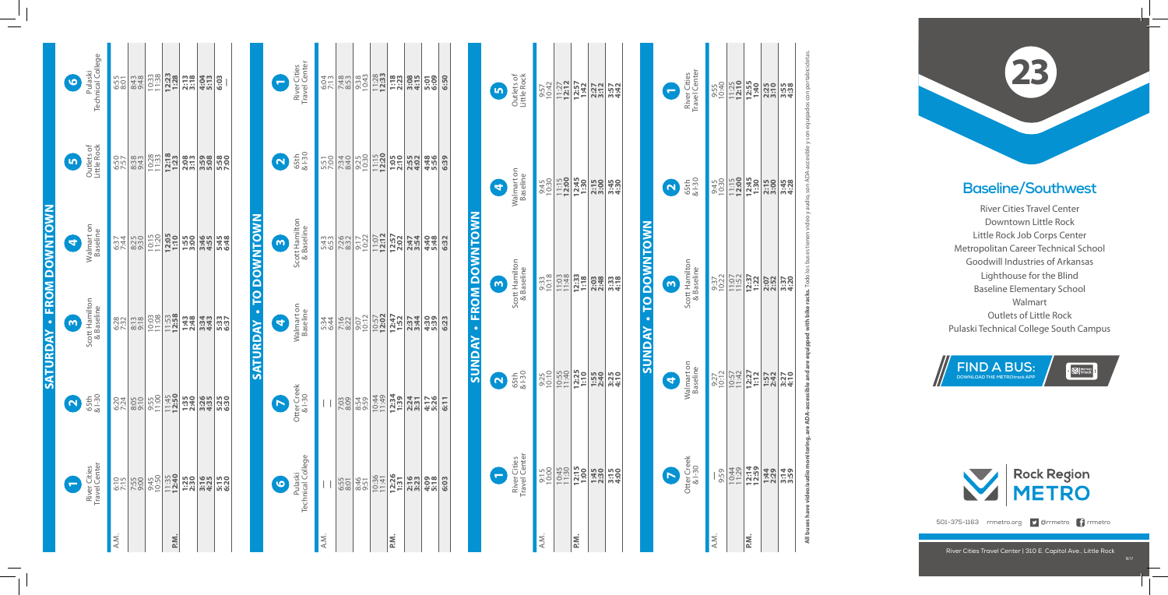## **Baseline/Southwest**

River Cities Travel Center Downtown Little Rock Little Rock Job Corps Center Metropolitan Career Technical School Goodwill Industries of Arkansas Lighthouse for the Blind Baseline Elementary School Walmart Outlets of Little Rock Pulaski Technical College South Campus



River Cities Travel Center | 310 E. Capitol Ave., Little Rock

**SUNDAY • TO DOWNTOWN**

*SUNDAY* 

**TO DOWNTOWN** 

**SATURDAY • TO DOWNTOWN**

 $\circ$ 

**ATURDA** 

**DOWNTOWN** 





501-375-1163 rrmetro.org **D** @rrmetro **f** rrmetro

A.M. **—**

A.M.

**P.M. 12:14**

P.M.

9:59 10:44 11:29 **12:59 1:44 2:29 3:14 3:59**

9:27 10:12 10:57 11:42 **12:27 1:12 1:57 2:42 3:27 4:10**

9:37 10:22 11:07 11:52 **12:37 1:22 2:07 2:52 3:37 4:20**

9<u>:30 **1:30 1:30 1:38**<br>1:30 1:3<mark>0 1:30 1:30</mark><br>3:20 1:30 1:30 1:38</u>

9:55 10:40 11:25 **12:10 12:55 1:40 2:25 3:10 3:55 4:38**

<u>ო</u>

|                                 | Pulaski<br>Technical College<br>$\bullet$<br>Outlets of<br>Little Rock<br>$\mathbf{b}$ | 8:43<br>9:48<br>6:55<br>8:01<br>8:38<br>9:43<br>6:50<br>7:57 | 10:33<br>10:28 | 12:23<br>$12:18$<br>$1:23$ | $2:18$<br>$3:78$<br>$2:08$<br>$3:13$ | 4:04<br>5:13<br>3:59<br>5:08 | 6:03<br>5:58<br>7:00 |
|---------------------------------|----------------------------------------------------------------------------------------|--------------------------------------------------------------|----------------|----------------------------|--------------------------------------|------------------------------|----------------------|
|                                 | Walmart on<br>Baseline<br>0                                                            | 8:25<br>5:37<br>7:44                                         | 10:15          | 12:05<br>1:10              | 1:55<br>3:00                         | 3:46<br>4:55                 | 5:48<br>6:48         |
| <b>SATURDAY - FROM DOWNTOWN</b> | Scott Hamilton<br>& Baseline<br>6                                                      | 6:28<br>$8:13$<br>$9:18$                                     | 10:03          | 11:53<br>12:58             | 1:43<br>2:48                         | 3:34<br>4:43                 | 5:37<br>6:37         |
|                                 | $65th$<br>$81-30$<br>$\Omega$                                                          | 6:20<br>7:24<br>8:05                                         | 9:55<br>11:00  | 11:45<br>12:50             | 1:35<br>2:40                         | 3:35<br>4:35                 | 5:25<br>6:30         |
|                                 | River Cities<br>Travel Center<br>$\bullet$                                             | 6:10<br>7:55<br>9:00                                         | 9:45<br>10:50  | 11:35<br>12:40             | 1:25                                 | 3:16<br>4:25                 | 5:15<br>6:20         |
|                                 |                                                                                        | A.M.                                                         |                | P.M.                       |                                      |                              |                      |

| River Cities<br>Travel Center<br>$\bullet$ |                          | $\frac{571}{7280}$                   |                                                                                                                                                                                                                                                                                                                     | $\frac{338}{222}$ $\frac{33}{22}$ $\frac{33}{22}$ $\frac{33}{22}$ $\frac{33}{22}$ $\frac{33}{22}$ $\frac{33}{22}$ $\frac{33}{22}$ $\frac{33}{22}$ $\frac{33}{22}$ |                                                                                                     |                                                                                                                                      |      | 6:50 |
|--------------------------------------------|--------------------------|--------------------------------------|---------------------------------------------------------------------------------------------------------------------------------------------------------------------------------------------------------------------------------------------------------------------------------------------------------------------|-------------------------------------------------------------------------------------------------------------------------------------------------------------------|-----------------------------------------------------------------------------------------------------|--------------------------------------------------------------------------------------------------------------------------------------|------|------|
| $\Omega$ $\frac{1}{651}$                   |                          |                                      |                                                                                                                                                                                                                                                                                                                     |                                                                                                                                                                   |                                                                                                     |                                                                                                                                      |      | 6:39 |
| Scott Hamilton<br>& Baseline<br>6          |                          | $\frac{35}{100}$<br>$\frac{35}{100}$ | $\frac{1}{2}$ $\frac{1}{2}$ $\frac{1}{2}$ $\frac{1}{2}$ $\frac{1}{2}$ $\frac{1}{2}$ $\frac{1}{2}$ $\frac{1}{2}$ $\frac{1}{2}$ $\frac{1}{2}$ $\frac{1}{2}$ $\frac{1}{2}$ $\frac{1}{2}$ $\frac{1}{2}$ $\frac{1}{2}$ $\frac{1}{2}$ $\frac{1}{2}$ $\frac{1}{2}$ $\frac{1}{2}$ $\frac{1}{2}$ $\frac{1}{2}$ $\frac{1}{2}$ |                                                                                                                                                                   |                                                                                                     |                                                                                                                                      |      | 6:32 |
| Walmart on<br>Baseline<br>G                |                          |                                      |                                                                                                                                                                                                                                                                                                                     |                                                                                                                                                                   |                                                                                                     |                                                                                                                                      |      | 6:23 |
| Otter Creek<br>& I-30<br>$\bullet$         | $\vert \ \ \vert$        | 7:03                                 |                                                                                                                                                                                                                                                                                                                     | $\begin{array}{c c}\n8.54 \\ 9.59 \\ \hline\n10.49 \\ \hline\n42.9\n\end{array}$                                                                                  |                                                                                                     | $\begin{array}{c c}\n 12:34 \\  \hline\n 1:39 \\  \hline\n 2:31 \\  \hline\n 3:31 \\  \hline\n 4:70 \\  \hline\n 5:26\n \end{array}$ |      | 6:11 |
| Pulaski<br>Technical College<br>0          | $\overline{\phantom{a}}$ | 6:55<br>8:01                         | 8:46<br>9:51                                                                                                                                                                                                                                                                                                        |                                                                                                                                                                   | $\begin{array}{ c c }\n 10:36 \\  \hline\n 11:41 \\  \hline\n 12:26 \\  \hline\n 131\n \end{array}$ | 2:16                                                                                                                                 | 4:09 | 6:03 |
|                                            | A.M.                     |                                      |                                                                                                                                                                                                                                                                                                                     |                                                                                                                                                                   | Ρä.                                                                                                 |                                                                                                                                      |      |      |

Otter Creek

Walmart on

Otter Creek<br>& I-30

Scott Hamilton Scott Hamiltor<br>& Baseline & Baseline

**2**<br>65th<br>& I-30

River Cities Travel Center

River Cities<br>Travel Center

|                               | $\blacksquare$ | Outlets of<br>Little Rock     | 9:57<br>10:42 | $11:27$<br>12:12 | $1:57$<br>$1:42$  | 2:27<br>3:12 | 3:57<br>4:42     |
|-------------------------------|----------------|-------------------------------|---------------|------------------|-------------------|--------------|------------------|
|                               | G              | Walmart on<br>Baseline        | 9:45<br>10:30 | $11:15$<br>12:00 | 12:45             | 2:15         | 3:45<br>4:30     |
| <b>SUNDAY - FROM DOWNTOWN</b> | $\bullet$      | Scott Hamilton<br>& Baseline  | 9:33<br>10:18 | 11:03            | $12:33$<br>$1:18$ | 2:03<br>2:48 | $3:38$<br>$4:18$ |
|                               | Q              | 65th<br>& I-30                | 9:25<br>10:10 | 10:55<br>11:40   | 12:25<br>1:10     | 1:55<br>2:40 | $3:25$<br>$4:10$ |
|                               | $\blacksquare$ | River Cities<br>Travel Center | 9:15<br>10:00 | 10:45            | 12:15             | 1:45<br>2:30 | 3:15<br>4:00     |
|                               |                |                               | A.M.          |                  | Ρü.               |              |                  |

**7**

**4**

Walmart on<br>Baseline

**1**

10/1